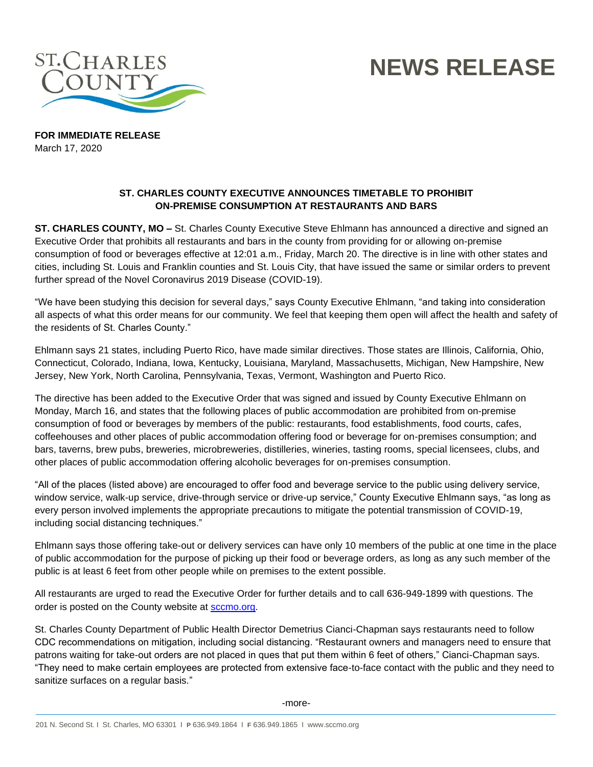

## **NEWS RELEASE**

**FOR IMMEDIATE RELEASE** March 17, 2020

## **ST. CHARLES COUNTY EXECUTIVE ANNOUNCES TIMETABLE TO PROHIBIT ON-PREMISE CONSUMPTION AT RESTAURANTS AND BARS**

**ST. CHARLES COUNTY, MO –** St. Charles County Executive Steve Ehlmann has announced a directive and signed an Executive Order that prohibits all restaurants and bars in the county from providing for or allowing on-premise consumption of food or beverages effective at 12:01 a.m., Friday, March 20. The directive is in line with other states and cities, including St. Louis and Franklin counties and St. Louis City, that have issued the same or similar orders to prevent further spread of the Novel Coronavirus 2019 Disease (COVID-19).

"We have been studying this decision for several days," says County Executive Ehlmann, "and taking into consideration all aspects of what this order means for our community. We feel that keeping them open will affect the health and safety of the residents of St. Charles County."

Ehlmann says 21 states, including Puerto Rico, have made similar directives. Those states are Illinois, California, Ohio, Connecticut, Colorado, Indiana, Iowa, Kentucky, Louisiana, Maryland, Massachusetts, Michigan, New Hampshire, New Jersey, New York, North Carolina, Pennsylvania, Texas, Vermont, Washington and Puerto Rico.

The directive has been added to the Executive Order that was signed and issued by County Executive Ehlmann on Monday, March 16, and states that the following places of public accommodation are prohibited from on-premise consumption of food or beverages by members of the public: restaurants, food establishments, food courts, cafes, coffeehouses and other places of public accommodation offering food or beverage for on-premises consumption; and bars, taverns, brew pubs, breweries, microbreweries, distilleries, wineries, tasting rooms, special licensees, clubs, and other places of public accommodation offering alcoholic beverages for on-premises consumption.

"All of the places (listed above) are encouraged to offer food and beverage service to the public using delivery service, window service, walk-up service, drive-through service or drive-up service," County Executive Ehlmann says, "as long as every person involved implements the appropriate precautions to mitigate the potential transmission of COVID-19, including social distancing techniques."

Ehlmann says those offering take-out or delivery services can have only 10 members of the public at one time in the place of public accommodation for the purpose of picking up their food or beverage orders, as long as any such member of the public is at least 6 feet from other people while on premises to the extent possible.

All restaurants are urged to read the Executive Order for further details and to call 636-949-1899 with questions. The order is posted on the County website at **sccmo.org**.

St. Charles County Department of Public Health Director Demetrius Cianci-Chapman says restaurants need to follow CDC recommendations on mitigation, including social distancing. "Restaurant owners and managers need to ensure that patrons waiting for take-out orders are not placed in ques that put them within 6 feet of others," Cianci-Chapman says. "They need to make certain employees are protected from extensive face-to-face contact with the public and they need to sanitize surfaces on a regular basis."